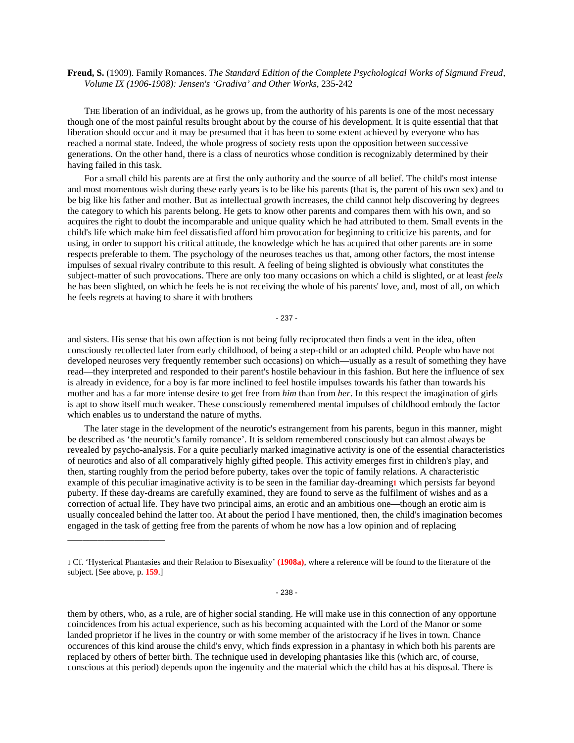**Freud, S.** (1909). Family Romances. *The Standard Edition of the Complete Psychological Works of Sigmund Freud, Volume IX (1906-1908): Jensen's 'Gradiva' and Other Works*, 235-242

THE liberation of an individual, as he grows up, from the authority of his parents is one of the most necessary though one of the most painful results brought about by the course of his development. It is quite essential that that liberation should occur and it may be presumed that it has been to some extent achieved by everyone who has reached a normal state. Indeed, the whole progress of society rests upon the opposition between successive generations. On the other hand, there is a class of neurotics whose condition is recognizably determined by their having failed in this task.

For a small child his parents are at first the only authority and the source of all belief. The child's most intense and most momentous wish during these early years is to be like his parents (that is, the parent of his own sex) and to be big like his father and mother. But as intellectual growth increases, the child cannot help discovering by degrees the category to which his parents belong. He gets to know other parents and compares them with his own, and so acquires the right to doubt the incomparable and unique quality which he had attributed to them. Small events in the child's life which make him feel dissatisfied afford him provocation for beginning to criticize his parents, and for using, in order to support his critical attitude, the knowledge which he has acquired that other parents are in some respects preferable to them. The psychology of the neuroses teaches us that, among other factors, the most intense impulses of sexual rivalry contribute to this result. A feeling of being slighted is obviously what constitutes the subject-matter of such provocations. There are only too many occasions on which a child is slighted, or at least *feels* he has been slighted, on which he feels he is not receiving the whole of his parents' love, and, most of all, on which he feels regrets at having to share it with brothers

- 237 -

and sisters. His sense that his own affection is not being fully reciprocated then finds a vent in the idea, often consciously recollected later from early childhood, of being a step-child or an adopted child. People who have not developed neuroses very frequently remember such occasions) on which—usually as a result of something they have read—they interpreted and responded to their parent's hostile behaviour in this fashion. But here the influence of sex is already in evidence, for a boy is far more inclined to feel hostile impulses towards his father than towards his mother and has a far more intense desire to get free from *him* than from *her*. In this respect the imagination of girls is apt to show itself much weaker. These consciously remembered mental impulses of childhood embody the factor which enables us to understand the nature of myths.

The later stage in the development of the neurotic's estrangement from his parents, begun in this manner, might be described as 'the neurotic's family romance'. It is seldom remembered consciously but can almost always be revealed by psycho-analysis. For a quite peculiarly marked imaginative activity is one of the essential characteristics of neurotics and also of all comparatively highly gifted people. This activity emerges first in children's play, and then, starting roughly from the period before puberty, takes over the topic of family relations. A characteristic example of this peculiar imaginative activity is to be seen in the familiar day-dreaming**1** which persists far beyond puberty. If these day-dreams are carefully examined, they are found to serve as the fulfilment of wishes and as a correction of actual life. They have two principal aims, an erotic and an ambitious one—though an erotic aim is usually concealed behind the latter too. At about the period I have mentioned, then, the child's imagination becomes engaged in the task of getting free from the parents of whom he now has a low opinion and of replacing

—————————————

- 238 -

them by others, who, as a rule, are of higher social standing. He will make use in this connection of any opportune coincidences from his actual experience, such as his becoming acquainted with the Lord of the Manor or some landed proprietor if he lives in the country or with some member of the aristocracy if he lives in town. Chance occurences of this kind arouse the child's envy, which finds expression in a phantasy in which both his parents are replaced by others of better birth. The technique used in developing phantasies like this (which arc, of course, conscious at this period) depends upon the ingenuity and the material which the child has at his disposal. There is

<sup>1</sup> Cf. 'Hysterical Phantasies and their Relation to Bisexuality' **(1908a)**, where a reference will be found to the literature of the subject. [See above, p. **159**.]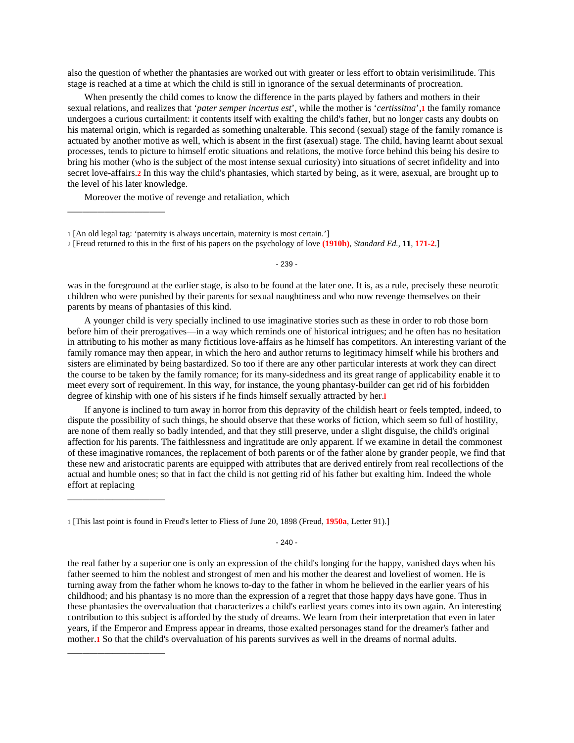also the question of whether the phantasies are worked out with greater or less effort to obtain verisimilitude. This stage is reached at a time at which the child is still in ignorance of the sexual determinants of procreation.

When presently the child comes to know the difference in the parts played by fathers and mothers in their sexual relations, and realizes that '*pater semper incertus est*', while the mother is '*certissitna*',**1** the family romance undergoes a curious curtailment: it contents itself with exalting the child's father, but no longer casts any doubts on his maternal origin, which is regarded as something unalterable. This second (sexual) stage of the family romance is actuated by another motive as well, which is absent in the first (asexual) stage. The child, having learnt about sexual processes, tends to picture to himself erotic situations and relations, the motive force behind this being his desire to bring his mother (who is the subject of the most intense sexual curiosity) into situations of secret infidelity and into secret love-affairs.**2** In this way the child's phantasies, which started by being, as it were, asexual, are brought up to the level of his later knowledge.

Moreover the motive of revenge and retaliation, which

—————————————

—————————————

—————————————

- 239 -

was in the foreground at the earlier stage, is also to be found at the later one. It is, as a rule, precisely these neurotic children who were punished by their parents for sexual naughtiness and who now revenge themselves on their parents by means of phantasies of this kind.

A younger child is very specially inclined to use imaginative stories such as these in order to rob those born before him of their prerogatives—in a way which reminds one of historical intrigues; and he often has no hesitation in attributing to his mother as many fictitious love-affairs as he himself has competitors. An interesting variant of the family romance may then appear, in which the hero and author returns to legitimacy himself while his brothers and sisters are eliminated by being bastardized. So too if there are any other particular interests at work they can direct the course to be taken by the family romance; for its many-sidedness and its great range of applicability enable it to meet every sort of requirement. In this way, for instance, the young phantasy-builder can get rid of his forbidden degree of kinship with one of his sisters if he finds himself sexually attracted by her.**l**

If anyone is inclined to turn away in horror from this depravity of the childish heart or feels tempted, indeed, to dispute the possibility of such things, he should observe that these works of fiction, which seem so full of hostility, are none of them really so badly intended, and that they still preserve, under a slight disguise, the child's original affection for his parents. The faithlessness and ingratitude are only apparent. If we examine in detail the commonest of these imaginative romances, the replacement of both parents or of the father alone by grander people, we find that these new and aristocratic parents are equipped with attributes that are derived entirely from real recollections of the actual and humble ones; so that in fact the child is not getting rid of his father but exalting him. Indeed the whole effort at replacing

- 240 -

the real father by a superior one is only an expression of the child's longing for the happy, vanished days when his father seemed to him the noblest and strongest of men and his mother the dearest and loveliest of women. He is turning away from the father whom he knows to-day to the father in whom he believed in the earlier years of his childhood; and his phantasy is no more than the expression of a regret that those happy days have gone. Thus in these phantasies the overvaluation that characterizes a child's earliest years comes into its own again. An interesting contribution to this subject is afforded by the study of dreams. We learn from their interpretation that even in later years, if the Emperor and Empress appear in dreams, those exalted personages stand for the dreamer's father and mother.**1** So that the child's overvaluation of his parents survives as well in the dreams of normal adults.

<sup>1 [</sup>An old legal tag: 'paternity is always uncertain, maternity is most certain.']

<sup>2 [</sup>Freud returned to this in the first of his papers on the psychology of love **(1910h)**, *Standard Ed.*, **11**, **171-2**.]

<sup>1 [</sup>This last point is found in Freud's letter to Fliess of June 20, 1898 (Freud, **1950a**, Letter 91).]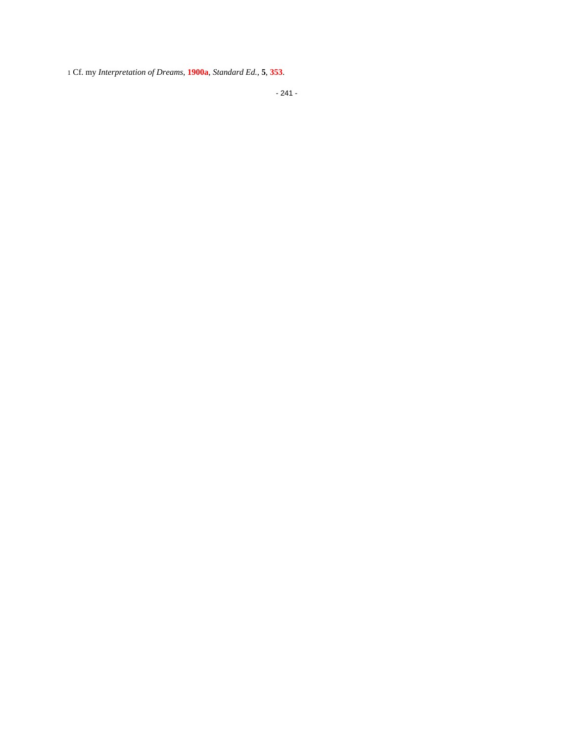1 Cf. my *Interpretation of Dreams*, **1900a**, *Standard Ed.*, **5**, **353**.